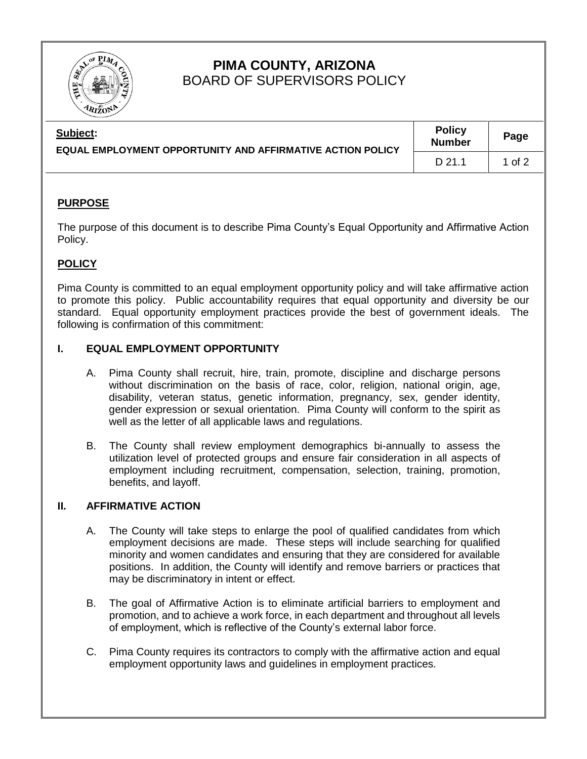

# **PIMA COUNTY, ARIZONA** BOARD OF SUPERVISORS POLICY

| Subject:<br>EQUAL EMPLOYMENT OPPORTUNITY AND AFFIRMATIVE ACTION POLICY | <b>Policy</b><br><b>Number</b> | Page   |
|------------------------------------------------------------------------|--------------------------------|--------|
|                                                                        | D 21.1                         | 1 of 2 |

### **PURPOSE**

The purpose of this document is to describe Pima County's Equal Opportunity and Affirmative Action Policy.

## **POLICY**

Pima County is committed to an equal employment opportunity policy and will take affirmative action to promote this policy. Public accountability requires that equal opportunity and diversity be our standard. Equal opportunity employment practices provide the best of government ideals. The following is confirmation of this commitment:

### **I. EQUAL EMPLOYMENT OPPORTUNITY**

- A. Pima County shall recruit, hire, train, promote, discipline and discharge persons without discrimination on the basis of race, color, religion, national origin, age, disability, veteran status, genetic information, pregnancy, sex, gender identity, gender expression or sexual orientation. Pima County will conform to the spirit as well as the letter of all applicable laws and regulations.
- B. The County shall review employment demographics bi-annually to assess the utilization level of protected groups and ensure fair consideration in all aspects of employment including recruitment, compensation, selection, training, promotion, benefits, and layoff.

#### **II. AFFIRMATIVE ACTION**

- A. The County will take steps to enlarge the pool of qualified candidates from which employment decisions are made. These steps will include searching for qualified minority and women candidates and ensuring that they are considered for available positions. In addition, the County will identify and remove barriers or practices that may be discriminatory in intent or effect.
- B. The goal of Affirmative Action is to eliminate artificial barriers to employment and promotion, and to achieve a work force, in each department and throughout all levels of employment, which is reflective of the County's external labor force.
- C. Pima County requires its contractors to comply with the affirmative action and equal employment opportunity laws and guidelines in employment practices.